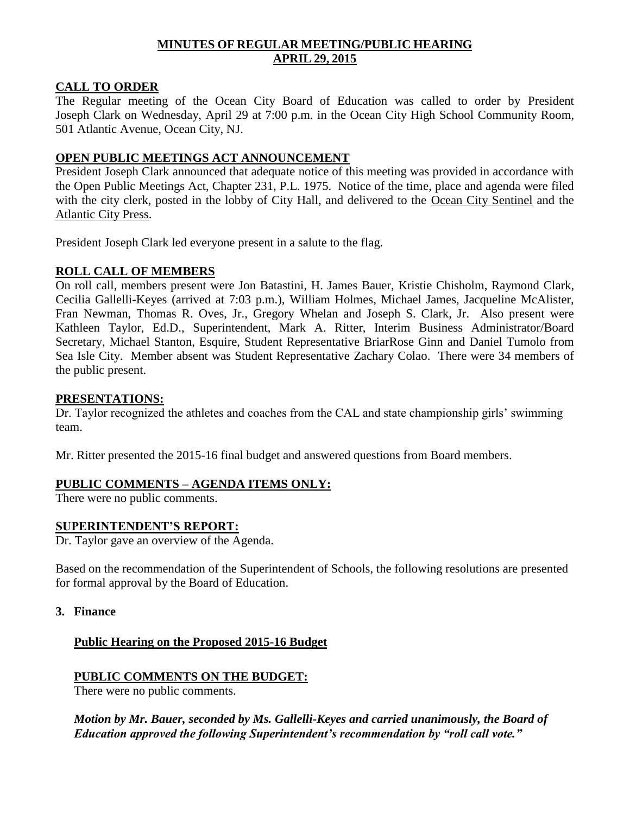# **MINUTES OF REGULAR MEETING/PUBLIC HEARING APRIL 29, 2015**

## **CALL TO ORDER**

The Regular meeting of the Ocean City Board of Education was called to order by President Joseph Clark on Wednesday, April 29 at 7:00 p.m. in the Ocean City High School Community Room, 501 Atlantic Avenue, Ocean City, NJ.

## **OPEN PUBLIC MEETINGS ACT ANNOUNCEMENT**

President Joseph Clark announced that adequate notice of this meeting was provided in accordance with the Open Public Meetings Act, Chapter 231, P.L. 1975. Notice of the time, place and agenda were filed with the city clerk, posted in the lobby of City Hall, and delivered to the Ocean City Sentinel and the Atlantic City Press.

President Joseph Clark led everyone present in a salute to the flag.

## **ROLL CALL OF MEMBERS**

On roll call, members present were Jon Batastini, H. James Bauer, Kristie Chisholm, Raymond Clark, Cecilia Gallelli-Keyes (arrived at 7:03 p.m.), William Holmes, Michael James, Jacqueline McAlister, Fran Newman, Thomas R. Oves, Jr., Gregory Whelan and Joseph S. Clark, Jr. Also present were Kathleen Taylor, Ed.D., Superintendent, Mark A. Ritter, Interim Business Administrator/Board Secretary, Michael Stanton, Esquire, Student Representative BriarRose Ginn and Daniel Tumolo from Sea Isle City. Member absent was Student Representative Zachary Colao. There were 34 members of the public present.

## **PRESENTATIONS:**

Dr. Taylor recognized the athletes and coaches from the CAL and state championship girls' swimming team.

Mr. Ritter presented the 2015-16 final budget and answered questions from Board members.

# **PUBLIC COMMENTS – AGENDA ITEMS ONLY:**

There were no public comments.

## **SUPERINTENDENT'S REPORT:**

Dr. Taylor gave an overview of the Agenda.

Based on the recommendation of the Superintendent of Schools, the following resolutions are presented for formal approval by the Board of Education.

**3. Finance**

# **Public Hearing on the Proposed 2015-16 Budget**

# **PUBLIC COMMENTS ON THE BUDGET:**

There were no public comments.

*Motion by Mr. Bauer, seconded by Ms. Gallelli-Keyes and carried unanimously, the Board of Education approved the following Superintendent's recommendation by "roll call vote."*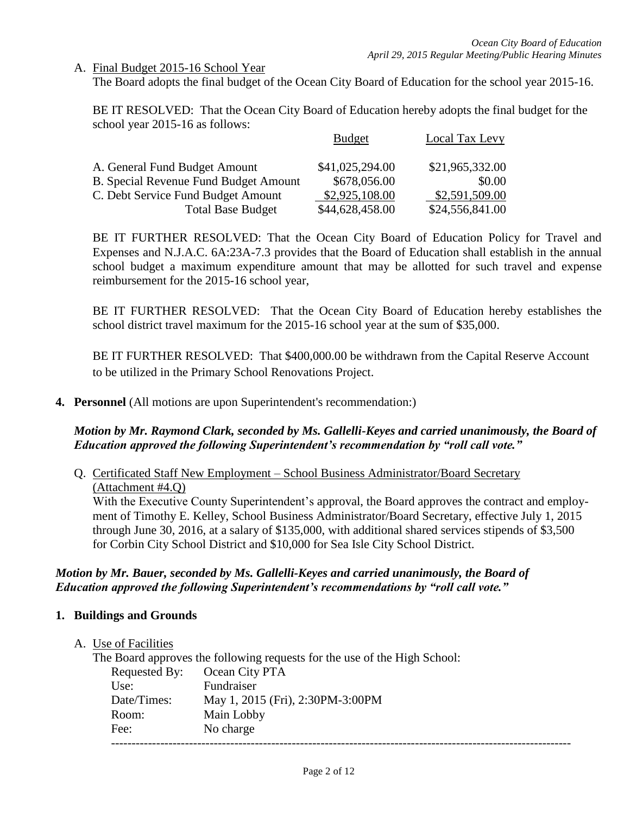## A. Final Budget 2015-16 School Year

The Board adopts the final budget of the Ocean City Board of Education for the school year 2015-16.

BE IT RESOLVED: That the Ocean City Board of Education hereby adopts the final budget for the school year 2015-16 as follows:

|                                              | <b>Budget</b>   | Local Tax Levy  |
|----------------------------------------------|-----------------|-----------------|
| A. General Fund Budget Amount                | \$41,025,294.00 | \$21,965,332.00 |
| <b>B. Special Revenue Fund Budget Amount</b> | \$678,056.00    | \$0.00          |
| C. Debt Service Fund Budget Amount           | \$2,925,108.00  | \$2,591,509.00  |
| <b>Total Base Budget</b>                     | \$44,628,458.00 | \$24,556,841.00 |

BE IT FURTHER RESOLVED: That the Ocean City Board of Education Policy for Travel and Expenses and N.J.A.C. 6A:23A-7.3 provides that the Board of Education shall establish in the annual school budget a maximum expenditure amount that may be allotted for such travel and expense reimbursement for the 2015-16 school year,

BE IT FURTHER RESOLVED: That the Ocean City Board of Education hereby establishes the school district travel maximum for the 2015-16 school year at the sum of \$35,000.

BE IT FURTHER RESOLVED: That \$400,000.00 be withdrawn from the Capital Reserve Account to be utilized in the Primary School Renovations Project.

**4. Personnel** (All motions are upon Superintendent's recommendation:)

# *Motion by Mr. Raymond Clark, seconded by Ms. Gallelli-Keyes and carried unanimously, the Board of Education approved the following Superintendent's recommendation by "roll call vote."*

Q. Certificated Staff New Employment – School Business Administrator/Board Secretary (Attachment #4.Q) With the Executive County Superintendent's approval, the Board approves the contract and employment of Timothy E. Kelley, School Business Administrator/Board Secretary, effective July 1, 2015 through June 30, 2016, at a salary of \$135,000, with additional shared services stipends of \$3,500 for Corbin City School District and \$10,000 for Sea Isle City School District.

# *Motion by Mr. Bauer, seconded by Ms. Gallelli-Keyes and carried unanimously, the Board of Education approved the following Superintendent's recommendations by "roll call vote."*

## **1. Buildings and Grounds**

A. Use of Facilities

|               | The Board approves the following requests for the use of the High School: |
|---------------|---------------------------------------------------------------------------|
| Requested By: | Ocean City PTA                                                            |
| Use:          | Fundraiser                                                                |
| Date/Times:   | May 1, 2015 (Fri), 2:30PM-3:00PM                                          |
| Room:         | Main Lobby                                                                |
| Fee:          | No charge                                                                 |
|               |                                                                           |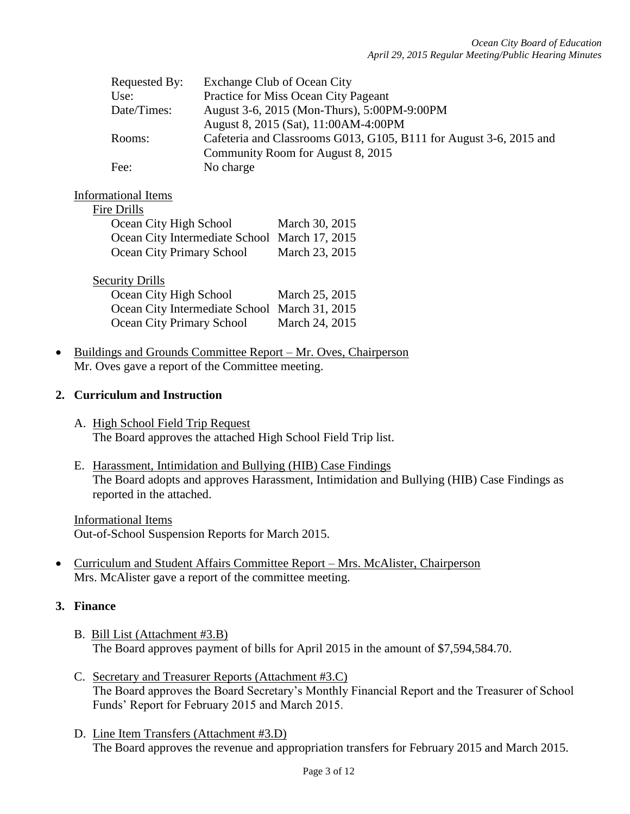| Requested By: | Exchange Club of Ocean City                                        |
|---------------|--------------------------------------------------------------------|
| Use:          | Practice for Miss Ocean City Pageant                               |
| Date/Times:   | August 3-6, 2015 (Mon-Thurs), 5:00PM-9:00PM                        |
|               | August 8, 2015 (Sat), 11:00AM-4:00PM                               |
| Rooms:        | Cafeteria and Classrooms G013, G105, B111 for August 3-6, 2015 and |
|               | Community Room for August 8, 2015                                  |
| Fee:          | No charge                                                          |

## Informational Items

| Fire Drills                                   |                |
|-----------------------------------------------|----------------|
| Ocean City High School                        | March 30, 2015 |
| Ocean City Intermediate School March 17, 2015 |                |
| Ocean City Primary School                     | March 23, 2015 |

| <b>Security Drills</b>                        |                |
|-----------------------------------------------|----------------|
| Ocean City High School                        | March 25, 2015 |
| Ocean City Intermediate School March 31, 2015 |                |
| Ocean City Primary School                     | March 24, 2015 |

 Buildings and Grounds Committee Report – Mr. Oves, Chairperson Mr. Oves gave a report of the Committee meeting.

## **2. Curriculum and Instruction**

- A. High School Field Trip Request The Board approves the attached High School Field Trip list.
- E. Harassment, Intimidation and Bullying (HIB) Case Findings The Board adopts and approves Harassment, Intimidation and Bullying (HIB) Case Findings as reported in the attached.

Informational Items Out-of-School Suspension Reports for March 2015.

 Curriculum and Student Affairs Committee Report – Mrs. McAlister, Chairperson Mrs. McAlister gave a report of the committee meeting.

# **3. Finance**

- B. Bill List (Attachment #3.B) The Board approves payment of bills for April 2015 in the amount of \$7,594,584.70.
- C. Secretary and Treasurer Reports (Attachment #3.C) The Board approves the Board Secretary's Monthly Financial Report and the Treasurer of School Funds' Report for February 2015 and March 2015.
- D. Line Item Transfers (Attachment #3.D) The Board approves the revenue and appropriation transfers for February 2015 and March 2015.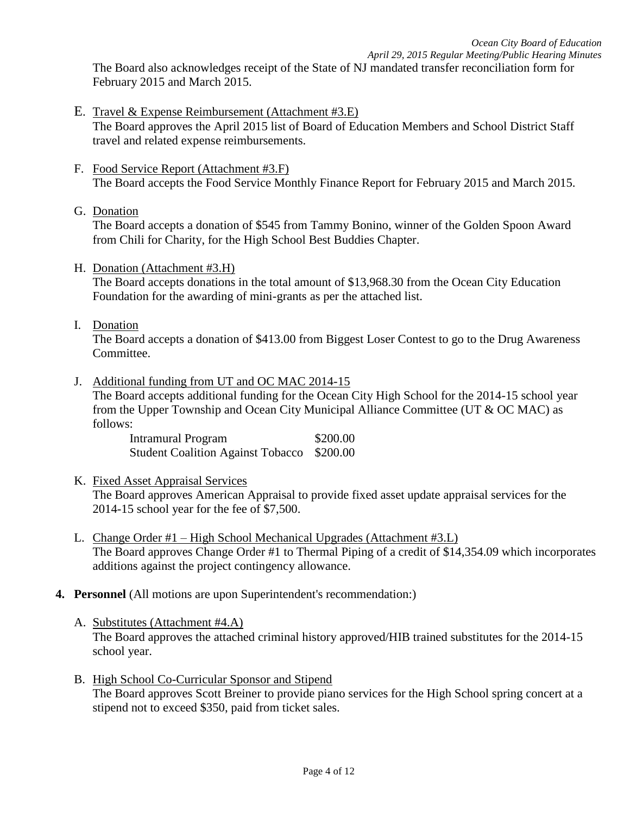*April 29, 2015 Regular Meeting/Public Hearing Minutes*

The Board also acknowledges receipt of the State of NJ mandated transfer reconciliation form for February 2015 and March 2015.

- E. Travel & Expense Reimbursement (Attachment #3.E) The Board approves the April 2015 list of Board of Education Members and School District Staff travel and related expense reimbursements.
- F. Food Service Report (Attachment #3.F) The Board accepts the Food Service Monthly Finance Report for February 2015 and March 2015.
- G. Donation

The Board accepts a donation of \$545 from Tammy Bonino, winner of the Golden Spoon Award from Chili for Charity, for the High School Best Buddies Chapter.

H. Donation (Attachment #3.H)

The Board accepts donations in the total amount of \$13,968.30 from the Ocean City Education Foundation for the awarding of mini-grants as per the attached list.

I. Donation

The Board accepts a donation of \$413.00 from Biggest Loser Contest to go to the Drug Awareness Committee.

J. Additional funding from UT and OC MAC 2014-15

The Board accepts additional funding for the Ocean City High School for the 2014-15 school year from the Upper Township and Ocean City Municipal Alliance Committee (UT & OC MAC) as follows:

Intramural Program \$200.00 Student Coalition Against Tobacco \$200.00

K. Fixed Asset Appraisal Services

The Board approves American Appraisal to provide fixed asset update appraisal services for the 2014-15 school year for the fee of \$7,500.

- L. Change Order #1 High School Mechanical Upgrades (Attachment #3.L) The Board approves Change Order #1 to Thermal Piping of a credit of \$14,354.09 which incorporates additions against the project contingency allowance.
- **4. Personnel** (All motions are upon Superintendent's recommendation:)
	- A. Substitutes (Attachment #4.A) The Board approves the attached criminal history approved/HIB trained substitutes for the 2014-15 school year.
	- B. High School Co-Curricular Sponsor and Stipend The Board approves Scott Breiner to provide piano services for the High School spring concert at a stipend not to exceed \$350, paid from ticket sales.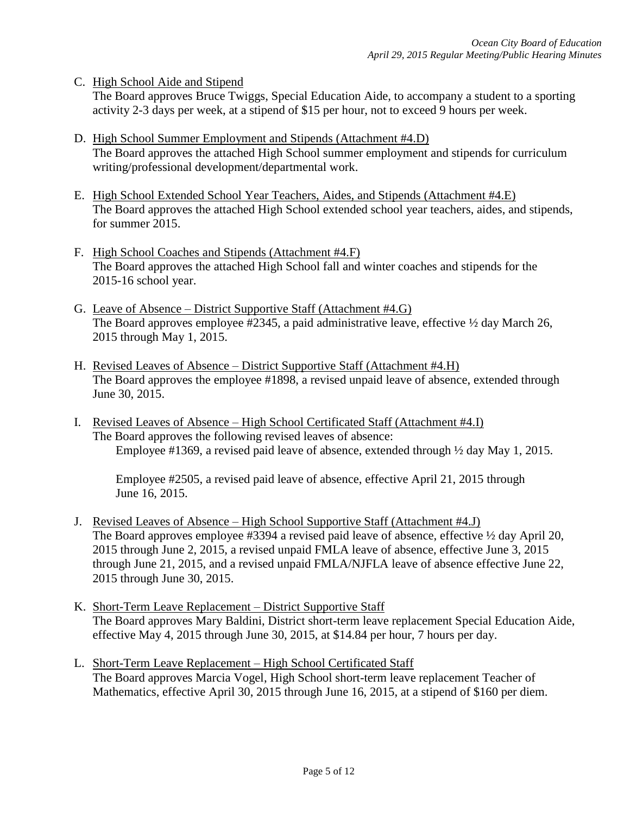C. High School Aide and Stipend

The Board approves Bruce Twiggs, Special Education Aide, to accompany a student to a sporting activity 2-3 days per week, at a stipend of \$15 per hour, not to exceed 9 hours per week.

- D. High School Summer Employment and Stipends (Attachment #4.D) The Board approves the attached High School summer employment and stipends for curriculum writing/professional development/departmental work.
- E. High School Extended School Year Teachers, Aides, and Stipends (Attachment #4.E) The Board approves the attached High School extended school year teachers, aides, and stipends, for summer 2015.
- F. High School Coaches and Stipends (Attachment #4.F) The Board approves the attached High School fall and winter coaches and stipends for the 2015-16 school year.
- G. Leave of Absence District Supportive Staff (Attachment #4.G) The Board approves employee #2345, a paid administrative leave, effective  $\frac{1}{2}$  day March 26, 2015 through May 1, 2015.
- H. Revised Leaves of Absence District Supportive Staff (Attachment #4.H) The Board approves the employee #1898, a revised unpaid leave of absence, extended through June 30, 2015.
- I. Revised Leaves of Absence High School Certificated Staff (Attachment #4.I) The Board approves the following revised leaves of absence: Employee #1369, a revised paid leave of absence, extended through ½ day May 1, 2015.

Employee #2505, a revised paid leave of absence, effective April 21, 2015 through June 16, 2015.

- J. Revised Leaves of Absence High School Supportive Staff (Attachment #4.J) The Board approves employee #3394 a revised paid leave of absence, effective  $\frac{1}{2}$  day April 20, 2015 through June 2, 2015, a revised unpaid FMLA leave of absence, effective June 3, 2015 through June 21, 2015, and a revised unpaid FMLA/NJFLA leave of absence effective June 22, 2015 through June 30, 2015.
- K. Short-Term Leave Replacement District Supportive Staff The Board approves Mary Baldini, District short-term leave replacement Special Education Aide, effective May 4, 2015 through June 30, 2015, at \$14.84 per hour, 7 hours per day.
- L. Short-Term Leave Replacement High School Certificated Staff The Board approves Marcia Vogel, High School short-term leave replacement Teacher of Mathematics, effective April 30, 2015 through June 16, 2015, at a stipend of \$160 per diem.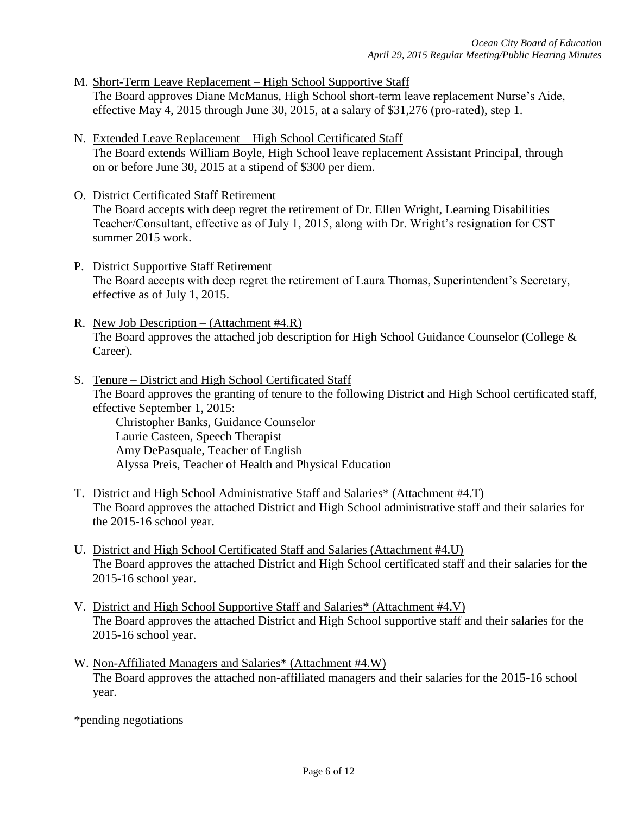- M. Short-Term Leave Replacement High School Supportive Staff The Board approves Diane McManus, High School short-term leave replacement Nurse's Aide, effective May 4, 2015 through June 30, 2015, at a salary of  $$31,276$  (pro-rated), step 1.
- N. Extended Leave Replacement High School Certificated Staff The Board extends William Boyle, High School leave replacement Assistant Principal, through on or before June 30, 2015 at a stipend of \$300 per diem.
- O. District Certificated Staff Retirement The Board accepts with deep regret the retirement of Dr. Ellen Wright, Learning Disabilities Teacher/Consultant, effective as of July 1, 2015, along with Dr. Wright's resignation for CST summer 2015 work.
- P. District Supportive Staff Retirement The Board accepts with deep regret the retirement of Laura Thomas, Superintendent's Secretary, effective as of July 1, 2015.
- R. New Job Description (Attachment #4.R) The Board approves the attached job description for High School Guidance Counselor (College & Career).
- S. Tenure District and High School Certificated Staff The Board approves the granting of tenure to the following District and High School certificated staff, effective September 1, 2015: Christopher Banks, Guidance Counselor Laurie Casteen, Speech Therapist Amy DePasquale, Teacher of English Alyssa Preis, Teacher of Health and Physical Education
- T. District and High School Administrative Staff and Salaries\* (Attachment #4.T) The Board approves the attached District and High School administrative staff and their salaries for the 2015-16 school year.
- U. District and High School Certificated Staff and Salaries (Attachment #4.U) The Board approves the attached District and High School certificated staff and their salaries for the 2015-16 school year.
- V. District and High School Supportive Staff and Salaries\* (Attachment #4.V) The Board approves the attached District and High School supportive staff and their salaries for the 2015-16 school year.
- W. Non-Affiliated Managers and Salaries\* (Attachment #4.W) The Board approves the attached non-affiliated managers and their salaries for the 2015-16 school year.

\*pending negotiations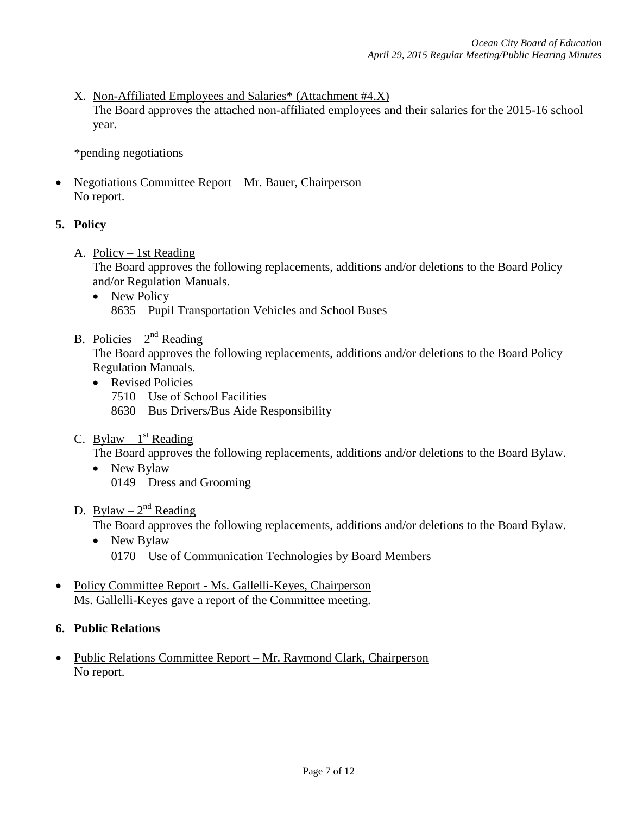X. Non-Affiliated Employees and Salaries\* (Attachment #4.X) The Board approves the attached non-affiliated employees and their salaries for the 2015-16 school year.

\*pending negotiations

• Negotiations Committee Report – Mr. Bauer, Chairperson No report.

# **5. Policy**

A. Policy – 1st Reading

The Board approves the following replacements, additions and/or deletions to the Board Policy and/or Regulation Manuals.

• New Policy 8635 Pupil Transportation Vehicles and School Buses

# B. Policies –  $2^{nd}$  Reading

The Board approves the following replacements, additions and/or deletions to the Board Policy Regulation Manuals.

- Revised Policies
	- 7510 Use of School Facilities
	- 8630 Bus Drivers/Bus Aide Responsibility
- C. Bylaw  $-1$ <sup>st</sup> Reading

The Board approves the following replacements, additions and/or deletions to the Board Bylaw.

- New Bylaw 0149 Dress and Grooming
- D. Bylaw  $2^{nd}$  Reading

The Board approves the following replacements, additions and/or deletions to the Board Bylaw.

- New Bylaw 0170 Use of Communication Technologies by Board Members
- Policy Committee Report Ms. Gallelli-Keyes, Chairperson Ms. Gallelli-Keyes gave a report of the Committee meeting.

# **6. Public Relations**

• Public Relations Committee Report – Mr. Raymond Clark, Chairperson No report.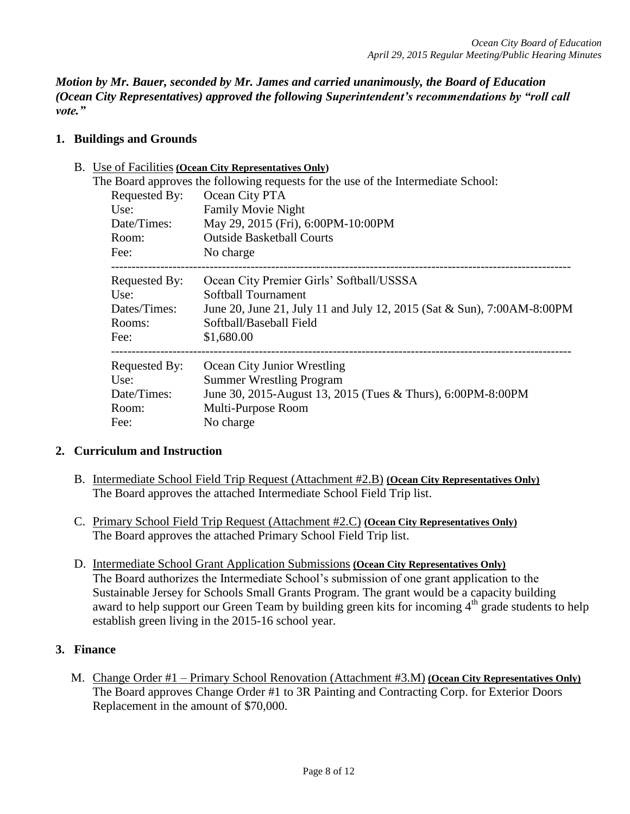*Motion by Mr. Bauer, seconded by Mr. James and carried unanimously, the Board of Education (Ocean City Representatives) approved the following Superintendent's recommendations by "roll call vote."* 

## **1. Buildings and Grounds**

B. Use of Facilities **(Ocean City Representatives Only)**

| The Board approves the following requests for the use of the Intermediate School: |               |                                                                        |  |  |
|-----------------------------------------------------------------------------------|---------------|------------------------------------------------------------------------|--|--|
| Requested By:<br>Ocean City PTA                                                   |               |                                                                        |  |  |
|                                                                                   | Use:          | <b>Family Movie Night</b>                                              |  |  |
|                                                                                   | Date/Times:   | May 29, 2015 (Fri), 6:00PM-10:00PM                                     |  |  |
|                                                                                   | Room:         | <b>Outside Basketball Courts</b>                                       |  |  |
|                                                                                   | Fee:          | No charge                                                              |  |  |
|                                                                                   | Requested By: | Ocean City Premier Girls' Softball/USSSA                               |  |  |
|                                                                                   | Use:          | <b>Softball Tournament</b>                                             |  |  |
|                                                                                   | Dates/Times:  | June 20, June 21, July 11 and July 12, 2015 (Sat & Sun), 7:00AM-8:00PM |  |  |
|                                                                                   | Rooms:        | Softball/Baseball Field                                                |  |  |
|                                                                                   | Fee:          | \$1,680.00                                                             |  |  |
|                                                                                   | Requested By: | Ocean City Junior Wrestling                                            |  |  |
|                                                                                   | Use:          | <b>Summer Wrestling Program</b>                                        |  |  |
|                                                                                   | Date/Times:   | June 30, 2015-August 13, 2015 (Tues & Thurs), 6:00PM-8:00PM            |  |  |
|                                                                                   | Room:         | Multi-Purpose Room                                                     |  |  |
|                                                                                   | Fee:          | No charge                                                              |  |  |
|                                                                                   |               |                                                                        |  |  |

# **2. Curriculum and Instruction**

- B. Intermediate School Field Trip Request (Attachment #2.B) **(Ocean City Representatives Only)** The Board approves the attached Intermediate School Field Trip list.
- C. Primary School Field Trip Request (Attachment #2.C) **(Ocean City Representatives Only)** The Board approves the attached Primary School Field Trip list.
- D. Intermediate School Grant Application Submissions **(Ocean City Representatives Only)** The Board authorizes the Intermediate School's submission of one grant application to the Sustainable Jersey for Schools Small Grants Program. The grant would be a capacity building award to help support our Green Team by building green kits for incoming  $4<sup>th</sup>$  grade students to help establish green living in the 2015-16 school year.

# **3. Finance**

M. Change Order #1 – Primary School Renovation (Attachment #3.M) **(Ocean City Representatives Only)** The Board approves Change Order #1 to 3R Painting and Contracting Corp. for Exterior Doors Replacement in the amount of \$70,000.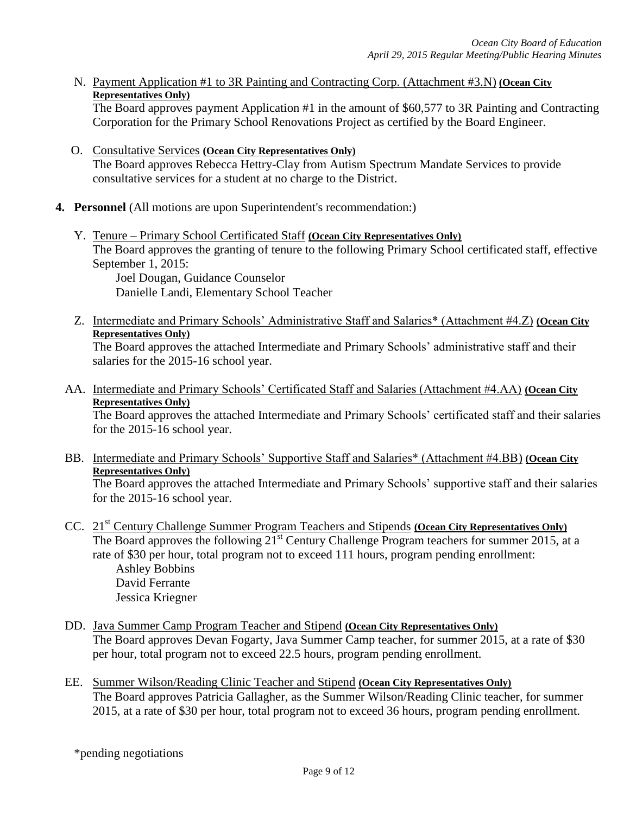N. Payment Application #1 to 3R Painting and Contracting Corp. (Attachment #3.N) **(Ocean City Representatives Only)**

The Board approves payment Application #1 in the amount of \$60,577 to 3R Painting and Contracting Corporation for the Primary School Renovations Project as certified by the Board Engineer.

- O. Consultative Services **(Ocean City Representatives Only)** The Board approves Rebecca Hettry-Clay from Autism Spectrum Mandate Services to provide consultative services for a student at no charge to the District.
- **4. Personnel** (All motions are upon Superintendent's recommendation:)
	- Y. Tenure Primary School Certificated Staff **(Ocean City Representatives Only)** The Board approves the granting of tenure to the following Primary School certificated staff, effective September 1, 2015:

Joel Dougan, Guidance Counselor Danielle Landi, Elementary School Teacher

Z. Intermediate and Primary Schools' Administrative Staff and Salaries\* (Attachment #4.Z) **(Ocean City Representatives Only)**

The Board approves the attached Intermediate and Primary Schools' administrative staff and their salaries for the 2015-16 school year.

AA. Intermediate and Primary Schools' Certificated Staff and Salaries (Attachment #4.AA) **(Ocean City Representatives Only)**

The Board approves the attached Intermediate and Primary Schools' certificated staff and their salaries for the 2015-16 school year.

BB. Intermediate and Primary Schools' Supportive Staff and Salaries\* (Attachment #4.BB) **(Ocean City Representatives Only)**

The Board approves the attached Intermediate and Primary Schools' supportive staff and their salaries for the 2015-16 school year.

- CC. 21st Century Challenge Summer Program Teachers and Stipends **(Ocean City Representatives Only)** The Board approves the following 21<sup>st</sup> Century Challenge Program teachers for summer 2015, at a rate of \$30 per hour, total program not to exceed 111 hours, program pending enrollment: Ashley Bobbins David Ferrante Jessica Kriegner
- DD. Java Summer Camp Program Teacher and Stipend **(Ocean City Representatives Only)** The Board approves Devan Fogarty, Java Summer Camp teacher, for summer 2015, at a rate of \$30 per hour, total program not to exceed 22.5 hours, program pending enrollment.
- EE. Summer Wilson/Reading Clinic Teacher and Stipend **(Ocean City Representatives Only)** The Board approves Patricia Gallagher, as the Summer Wilson/Reading Clinic teacher, for summer 2015, at a rate of \$30 per hour, total program not to exceed 36 hours, program pending enrollment.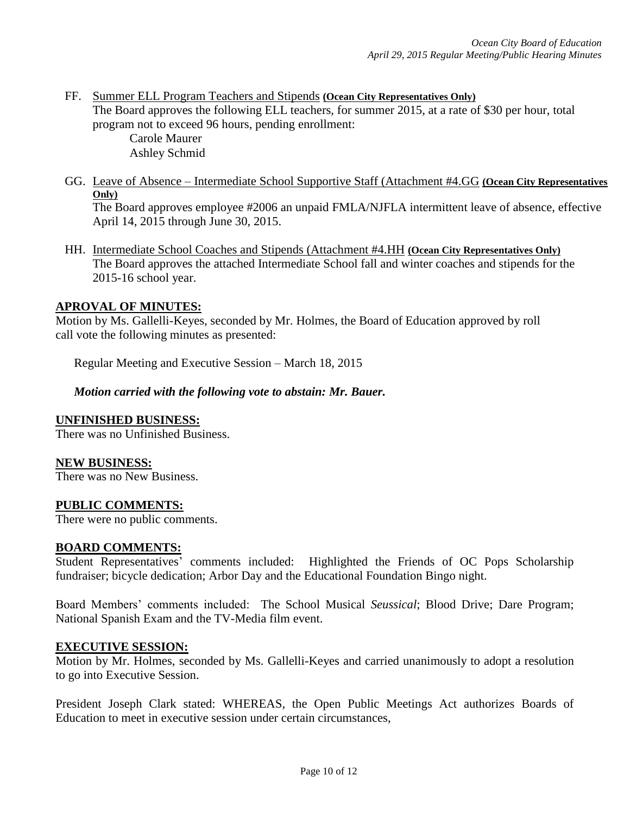FF. Summer ELL Program Teachers and Stipends **(Ocean City Representatives Only)** The Board approves the following ELL teachers, for summer 2015, at a rate of \$30 per hour, total program not to exceed 96 hours, pending enrollment:

Carole Maurer Ashley Schmid

- GG. Leave of Absence Intermediate School Supportive Staff (Attachment #4.GG **(Ocean City Representatives Only)** The Board approves employee #2006 an unpaid FMLA/NJFLA intermittent leave of absence, effective April 14, 2015 through June 30, 2015.
- HH. Intermediate School Coaches and Stipends (Attachment #4.HH **(Ocean City Representatives Only)** The Board approves the attached Intermediate School fall and winter coaches and stipends for the 2015-16 school year.

## **APROVAL OF MINUTES:**

Motion by Ms. Gallelli-Keyes, seconded by Mr. Holmes, the Board of Education approved by roll call vote the following minutes as presented:

Regular Meeting and Executive Session – March 18, 2015

### *Motion carried with the following vote to abstain: Mr. Bauer.*

### **UNFINISHED BUSINESS:**

There was no Unfinished Business.

### **NEW BUSINESS:**

There was no New Business.

### **PUBLIC COMMENTS:**

There were no public comments.

### **BOARD COMMENTS:**

Student Representatives' comments included: Highlighted the Friends of OC Pops Scholarship fundraiser; bicycle dedication; Arbor Day and the Educational Foundation Bingo night.

Board Members' comments included: The School Musical *Seussical*; Blood Drive; Dare Program; National Spanish Exam and the TV-Media film event.

### **EXECUTIVE SESSION:**

Motion by Mr. Holmes, seconded by Ms. Gallelli-Keyes and carried unanimously to adopt a resolution to go into Executive Session.

President Joseph Clark stated: WHEREAS, the Open Public Meetings Act authorizes Boards of Education to meet in executive session under certain circumstances,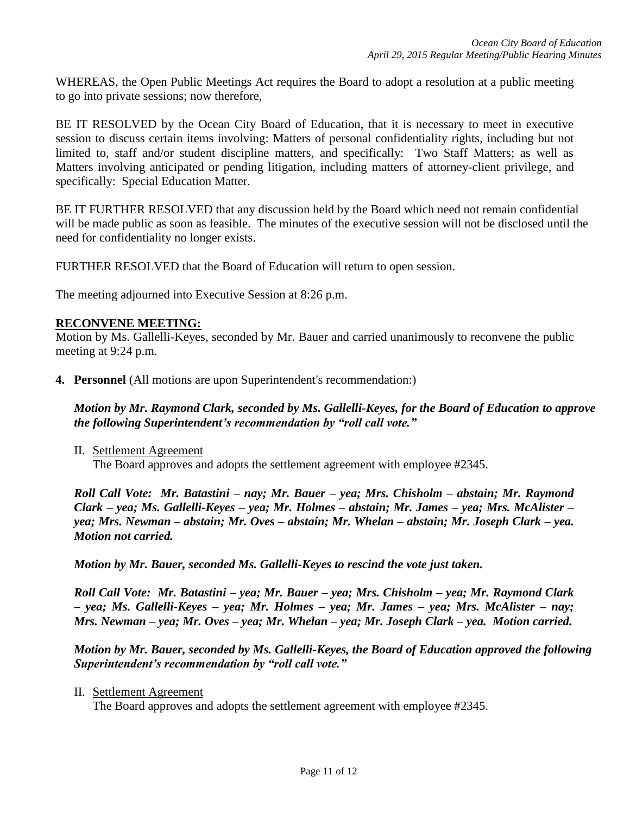WHEREAS, the Open Public Meetings Act requires the Board to adopt a resolution at a public meeting to go into private sessions; now therefore,

BE IT RESOLVED by the Ocean City Board of Education, that it is necessary to meet in executive session to discuss certain items involving: Matters of personal confidentiality rights, including but not limited to, staff and/or student discipline matters, and specifically: Two Staff Matters; as well as Matters involving anticipated or pending litigation, including matters of attorney-client privilege, and specifically: Special Education Matter.

BE IT FURTHER RESOLVED that any discussion held by the Board which need not remain confidential will be made public as soon as feasible. The minutes of the executive session will not be disclosed until the need for confidentiality no longer exists.

FURTHER RESOLVED that the Board of Education will return to open session.

The meeting adjourned into Executive Session at 8:26 p.m.

### **RECONVENE MEETING:**

Motion by Ms. Gallelli-Keyes, seconded by Mr. Bauer and carried unanimously to reconvene the public meeting at 9:24 p.m.

**4. Personnel** (All motions are upon Superintendent's recommendation:)

*Motion by Mr. Raymond Clark, seconded by Ms. Gallelli-Keyes, for the Board of Education to approve the following Superintendent's recommendation by "roll call vote."* 

II. Settlement Agreement The Board approves and adopts the settlement agreement with employee #2345.

*Roll Call Vote: Mr. Batastini – nay; Mr. Bauer – yea; Mrs. Chisholm – abstain; Mr. Raymond Clark – yea; Ms. Gallelli-Keyes – yea; Mr. Holmes – abstain; Mr. James – yea; Mrs. McAlister – yea; Mrs. Newman – abstain; Mr. Oves – abstain; Mr. Whelan – abstain; Mr. Joseph Clark – yea. Motion not carried.*

*Motion by Mr. Bauer, seconded Ms. Gallelli-Keyes to rescind the vote just taken.*

*Roll Call Vote: Mr. Batastini – yea; Mr. Bauer – yea; Mrs. Chisholm – yea; Mr. Raymond Clark – yea; Ms. Gallelli-Keyes – yea; Mr. Holmes – yea; Mr. James – yea; Mrs. McAlister – nay; Mrs. Newman – yea; Mr. Oves – yea; Mr. Whelan – yea; Mr. Joseph Clark – yea. Motion carried.*

*Motion by Mr. Bauer, seconded by Ms. Gallelli-Keyes, the Board of Education approved the following Superintendent's recommendation by "roll call vote."* 

II. Settlement Agreement

The Board approves and adopts the settlement agreement with employee #2345.